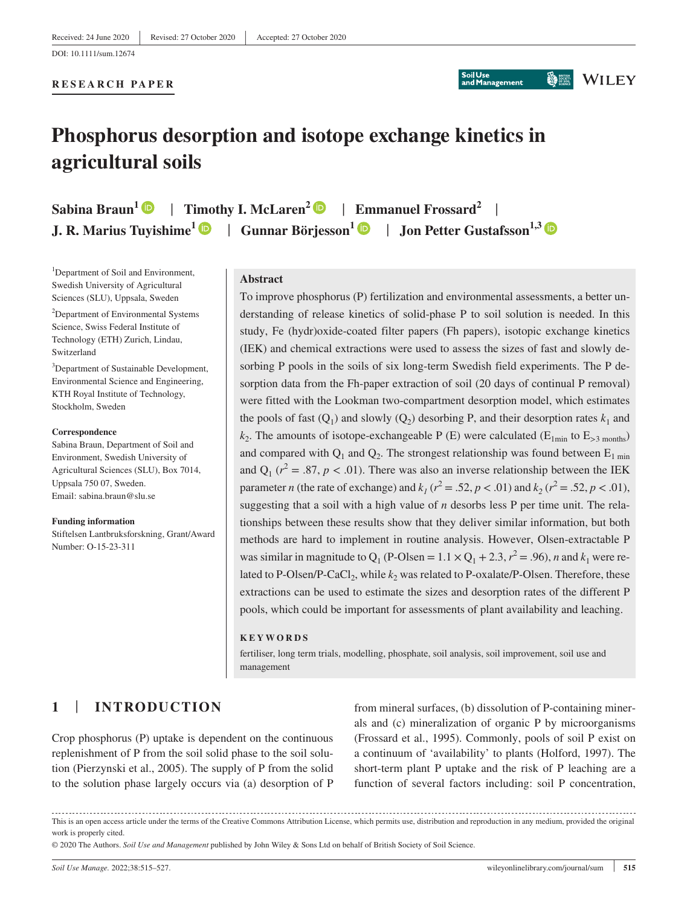#### **RESEARCH PAPER**



**WILEY** 

# **Phosphorus desorption and isotope exchange kinetics in agricultural soils**

**Sabina Braun<sup>1</sup>**  $\bullet$  **| Timothy I. McLaren<sup>[2](https://orcid.org/0000-0002-5257-7755)</sup>**  $\bullet$  **| Emmanuel Frossard<sup>2</sup> | J. R. Marius Tuyishime[1](https://orcid.org/0000-0001-6042-724X)** | **Gunnar Börjesson[1](https://orcid.org/0000-0002-1715-583X)** | **Jon Petter Gustafsson1,3**

<sup>1</sup>Department of Soil and Environment, Swedish University of Agricultural Sciences (SLU), Uppsala, Sweden

<sup>2</sup>Department of Environmental Systems Science, Swiss Federal Institute of Technology (ETH) Zurich, Lindau, Switzerland

<sup>3</sup>Department of Sustainable Development, Environmental Science and Engineering, KTH Royal Institute of Technology, Stockholm, Sweden

#### **Correspondence**

Sabina Braun, Department of Soil and Environment, Swedish University of Agricultural Sciences (SLU), Box 7014, Uppsala 750 07, Sweden. Email: [sabina.braun@slu.se](mailto:sabina.braun@slu.se)

**Funding information** Stiftelsen Lantbruksforskning, Grant/Award Number: O-15-23-311

**Abstract**

To improve phosphorus (P) fertilization and environmental assessments, a better understanding of release kinetics of solid-phase P to soil solution is needed. In this study, Fe (hydr)oxide-coated filter papers (Fh papers), isotopic exchange kinetics (IEK) and chemical extractions were used to assess the sizes of fast and slowly desorbing P pools in the soils of six long-term Swedish field experiments. The P desorption data from the Fh-paper extraction of soil (20 days of continual P removal) were fitted with the Lookman two-compartment desorption model, which estimates the pools of fast  $(Q_1)$  and slowly  $(Q_2)$  desorbing P, and their desorption rates  $k_1$  and  $k_2$ . The amounts of isotope-exchangeable P (E) were calculated ( $E_{1min}$  to  $E_{>3 months}$ ) and compared with  $Q_1$  and  $Q_2$ . The strongest relationship was found between  $E_1$  min and  $Q_1$  ( $r^2 = .87$ ,  $p < .01$ ). There was also an inverse relationship between the IEK parameter *n* (the rate of exchange) and  $k_1$  ( $r^2 = .52$ ,  $p < .01$ ) and  $k_2$  ( $r^2 = .52$ ,  $p < .01$ ), suggesting that a soil with a high value of *n* desorbs less P per time unit. The relationships between these results show that they deliver similar information, but both methods are hard to implement in routine analysis. However, Olsen-extractable P was similar in magnitude to Q<sub>1</sub> (P-Olsen =  $1.1 \times Q_1 + 2.3$ ,  $r^2 = .96$ ), *n* and  $k_1$  were related to P-Olsen/P-CaCl<sub>2</sub>, while  $k_2$  was related to P-oxalate/P-Olsen. Therefore, these extractions can be used to estimate the sizes and desorption rates of the different P pools, which could be important for assessments of plant availability and leaching.

#### **KEYWORDS**

fertiliser, long term trials, modelling, phosphate, soil analysis, soil improvement, soil use and management

# **1** | **INTRODUCTION**

Crop phosphorus (P) uptake is dependent on the continuous replenishment of P from the soil solid phase to the soil solution (Pierzynski et al., 2005). The supply of P from the solid to the solution phase largely occurs via (a) desorption of P from mineral surfaces, (b) dissolution of P-containing minerals and (c) mineralization of organic P by microorganisms (Frossard et al., 1995). Commonly, pools of soil P exist on a continuum of 'availability' to plants (Holford, 1997). The short-term plant P uptake and the risk of P leaching are a function of several factors including: soil P concentration,

© 2020 The Authors. *Soil Use and Management* published by John Wiley & Sons Ltd on behalf of British Society of Soil Science.

This is an open access article under the terms of the [Creative Commons Attribution](http://creativecommons.org/licenses/by/4.0/) License, which permits use, distribution and reproduction in any medium, provided the original work is properly cited.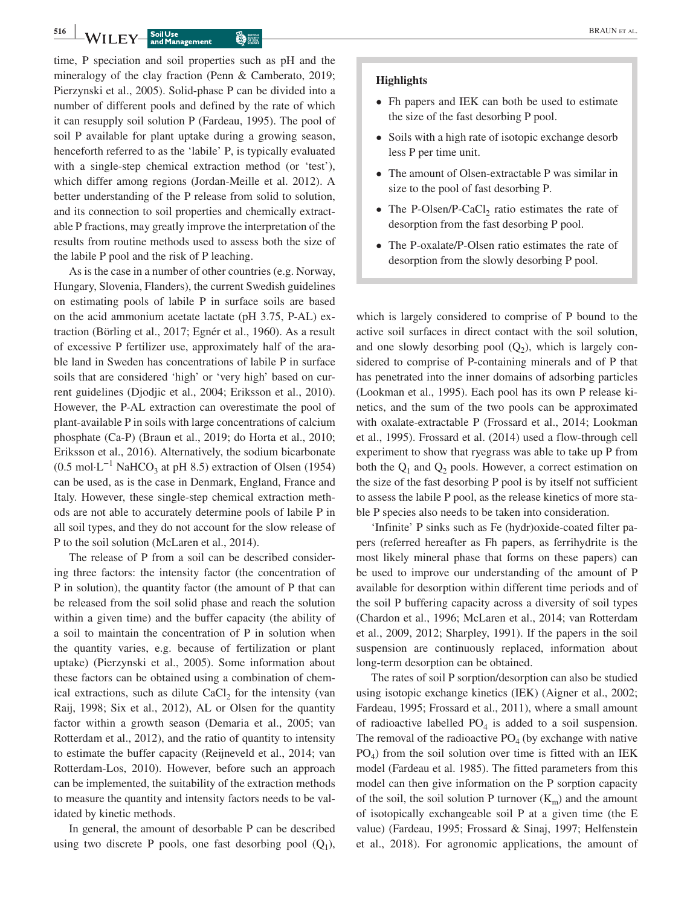**516 WILEY—SoilUse BRAUN ET AL. BRAUN ET AL. BRAUN ET AL.** 

time, P speciation and soil properties such as pH and the mineralogy of the clay fraction (Penn & Camberato, 2019; Pierzynski et al., 2005). Solid-phase P can be divided into a number of different pools and defined by the rate of which it can resupply soil solution P (Fardeau, 1995). The pool of soil P available for plant uptake during a growing season, henceforth referred to as the 'labile' P, is typically evaluated with a single-step chemical extraction method (or 'test'), which differ among regions (Jordan-Meille et al. 2012). A better understanding of the P release from solid to solution, and its connection to soil properties and chemically extractable P fractions, may greatly improve the interpretation of the results from routine methods used to assess both the size of the labile P pool and the risk of P leaching.

As is the case in a number of other countries (e.g. Norway, Hungary, Slovenia, Flanders), the current Swedish guidelines on estimating pools of labile P in surface soils are based on the acid ammonium acetate lactate (pH 3.75, P-AL) extraction (Börling et al., 2017; Egnér et al., 1960). As a result of excessive P fertilizer use, approximately half of the arable land in Sweden has concentrations of labile P in surface soils that are considered 'high' or 'very high' based on current guidelines (Djodjic et al., 2004; Eriksson et al., 2010). However, the P-AL extraction can overestimate the pool of plant-available P in soils with large concentrations of calcium phosphate (Ca-P) (Braun et al., 2019; do Horta et al., 2010; Eriksson et al., 2016). Alternatively, the sodium bicarbonate  $(0.5 \text{ mol} \cdot \text{L}^{-1} \text{ NaHCO}_3$  at pH 8.5) extraction of Olsen (1954) can be used, as is the case in Denmark, England, France and Italy. However, these single-step chemical extraction methods are not able to accurately determine pools of labile P in all soil types, and they do not account for the slow release of P to the soil solution (McLaren et al., 2014).

The release of P from a soil can be described considering three factors: the intensity factor (the concentration of P in solution), the quantity factor (the amount of P that can be released from the soil solid phase and reach the solution within a given time) and the buffer capacity (the ability of a soil to maintain the concentration of P in solution when the quantity varies, e.g. because of fertilization or plant uptake) (Pierzynski et al., 2005). Some information about these factors can be obtained using a combination of chemical extractions, such as dilute  $CaCl<sub>2</sub>$  for the intensity (van Raij, 1998; Six et al., 2012), AL or Olsen for the quantity factor within a growth season (Demaria et al., 2005; van Rotterdam et al., 2012), and the ratio of quantity to intensity to estimate the buffer capacity (Reijneveld et al., 2014; van Rotterdam-Los, 2010). However, before such an approach can be implemented, the suitability of the extraction methods to measure the quantity and intensity factors needs to be validated by kinetic methods.

In general, the amount of desorbable P can be described using two discrete P pools, one fast desorbing pool  $(Q_1)$ ,

#### **Highlights**

- Fh papers and IEK can both be used to estimate the size of the fast desorbing P pool.
- Soils with a high rate of isotopic exchange desorb less P per time unit.
- The amount of Olsen-extractable P was similar in size to the pool of fast desorbing P.
- The P-Olsen/P-CaCl<sub>2</sub> ratio estimates the rate of desorption from the fast desorbing P pool.
- The P-oxalate/P-Olsen ratio estimates the rate of desorption from the slowly desorbing P pool.

which is largely considered to comprise of P bound to the active soil surfaces in direct contact with the soil solution, and one slowly desorbing pool  $(Q_2)$ , which is largely considered to comprise of P-containing minerals and of P that has penetrated into the inner domains of adsorbing particles (Lookman et al., 1995). Each pool has its own P release kinetics, and the sum of the two pools can be approximated with oxalate-extractable P (Frossard et al., 2014; Lookman et al., 1995). Frossard et al. (2014) used a flow-through cell experiment to show that ryegrass was able to take up P from both the  $Q_1$  and  $Q_2$  pools. However, a correct estimation on the size of the fast desorbing P pool is by itself not sufficient to assess the labile P pool, as the release kinetics of more stable P species also needs to be taken into consideration.

'Infinite' P sinks such as Fe (hydr)oxide-coated filter papers (referred hereafter as Fh papers, as ferrihydrite is the most likely mineral phase that forms on these papers) can be used to improve our understanding of the amount of P available for desorption within different time periods and of the soil P buffering capacity across a diversity of soil types (Chardon et al., 1996; McLaren et al., 2014; van Rotterdam et al., 2009, 2012; Sharpley, 1991). If the papers in the soil suspension are continuously replaced, information about long-term desorption can be obtained.

The rates of soil P sorption/desorption can also be studied using isotopic exchange kinetics (IEK) (Aigner et al., 2002; Fardeau, 1995; Frossard et al., 2011), where a small amount of radioactive labelled  $PO_4$  is added to a soil suspension. The removal of the radioactive  $PO_4$  (by exchange with native  $PO<sub>4</sub>$ ) from the soil solution over time is fitted with an IEK model (Fardeau et al. 1985). The fitted parameters from this model can then give information on the P sorption capacity of the soil, the soil solution P turnover  $(K_m)$  and the amount of isotopically exchangeable soil P at a given time (the E value) (Fardeau, 1995; Frossard & Sinaj, 1997; Helfenstein et al., 2018). For agronomic applications, the amount of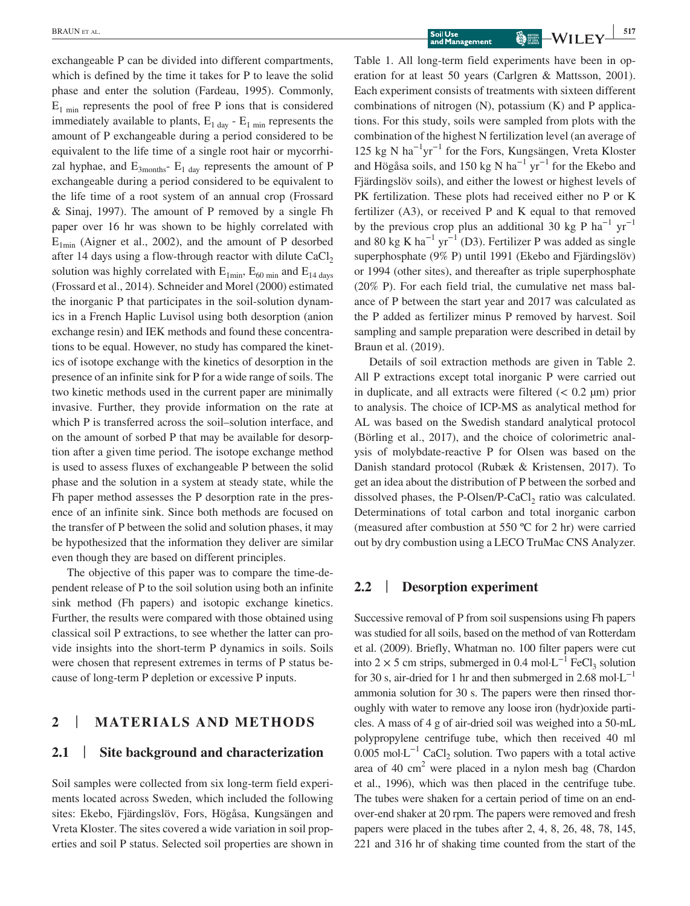exchangeable P can be divided into different compartments, which is defined by the time it takes for P to leave the solid phase and enter the solution (Fardeau, 1995). Commonly,  $E_{1 \text{ min}}$  represents the pool of free P ions that is considered immediately available to plants,  $E_{1 \text{ dav}} - E_{1 \text{ min}}$  represents the amount of P exchangeable during a period considered to be equivalent to the life time of a single root hair or mycorrhizal hyphae, and  $E_{3$ months<sup>-</sup>  $E_{1}$  day represents the amount of P exchangeable during a period considered to be equivalent to the life time of a root system of an annual crop (Frossard & Sinaj, 1997). The amount of P removed by a single Fh paper over 16 hr was shown to be highly correlated with  $E_{1min}$  (Aigner et al., 2002), and the amount of P desorbed after 14 days using a flow-through reactor with dilute  $CaCl<sub>2</sub>$ solution was highly correlated with  $E_{1min}$ ,  $E_{60 min}$  and  $E_{14 \text{ days}}$ (Frossard et al., 2014). Schneider and Morel (2000) estimated the inorganic P that participates in the soil-solution dynamics in a French Haplic Luvisol using both desorption (anion exchange resin) and IEK methods and found these concentrations to be equal. However, no study has compared the kinetics of isotope exchange with the kinetics of desorption in the presence of an infinite sink for P for a wide range of soils. The two kinetic methods used in the current paper are minimally invasive. Further, they provide information on the rate at which P is transferred across the soil–solution interface, and on the amount of sorbed P that may be available for desorption after a given time period. The isotope exchange method is used to assess fluxes of exchangeable P between the solid phase and the solution in a system at steady state, while the Fh paper method assesses the P desorption rate in the presence of an infinite sink. Since both methods are focused on the transfer of P between the solid and solution phases, it may be hypothesized that the information they deliver are similar even though they are based on different principles.

The objective of this paper was to compare the time-dependent release of P to the soil solution using both an infinite sink method (Fh papers) and isotopic exchange kinetics. Further, the results were compared with those obtained using classical soil P extractions, to see whether the latter can provide insights into the short-term P dynamics in soils. Soils were chosen that represent extremes in terms of P status because of long-term P depletion or excessive P inputs.

# **2** | **MATERIALS AND METHODS**

#### **2.1** | **Site background and characterization**

Soil samples were collected from six long-term field experiments located across Sweden, which included the following sites: Ekebo, Fjärdingslöv, Fors, Högåsa, Kungsängen and Vreta Kloster. The sites covered a wide variation in soil properties and soil P status. Selected soil properties are shown in

**EXAUN ET AL. EXAUN ET AL. 517** 

Table 1. All long-term field experiments have been in operation for at least 50 years (Carlgren & Mattsson, 2001). Each experiment consists of treatments with sixteen different combinations of nitrogen (N), potassium (K) and P applications. For this study, soils were sampled from plots with the combination of the highest N fertilization level (an average of 125 kg N ha−1yr−1 for the Fors, Kungsängen, Vreta Kloster and Högåsa soils, and 150 kg N ha−1 yr−1 for the Ekebo and Fjärdingslöv soils), and either the lowest or highest levels of PK fertilization. These plots had received either no P or K fertilizer (A3), or received P and K equal to that removed by the previous crop plus an additional 30  $kg P h a^{-1} yr^{-1}$ and 80 kg K ha<sup> $-1$ </sup> yr<sup> $-1$ </sup> (D3). Fertilizer P was added as single superphosphate (9% P) until 1991 (Ekebo and Fjärdingslöv) or 1994 (other sites), and thereafter as triple superphosphate (20% P). For each field trial, the cumulative net mass balance of P between the start year and 2017 was calculated as the P added as fertilizer minus P removed by harvest. Soil sampling and sample preparation were described in detail by Braun et al. (2019).

Details of soil extraction methods are given in Table 2. All P extractions except total inorganic P were carried out in duplicate, and all extracts were filtered  $(< 0.2 \mu m)$  prior to analysis. The choice of ICP-MS as analytical method for AL was based on the Swedish standard analytical protocol (Börling et al., 2017), and the choice of colorimetric analysis of molybdate-reactive P for Olsen was based on the Danish standard protocol (Rubæk & Kristensen, 2017). To get an idea about the distribution of P between the sorbed and dissolved phases, the P-Olsen/P-CaCl<sub>2</sub> ratio was calculated. Determinations of total carbon and total inorganic carbon (measured after combustion at 550 ºC for 2 hr) were carried out by dry combustion using a LECO TruMac CNS Analyzer.

# **2.2** | **Desorption experiment**

Successive removal of P from soil suspensions using Fh papers was studied for all soils, based on the method of van Rotterdam et al. (2009). Briefly, Whatman no. 100 filter papers were cut into 2  $\times$  5 cm strips, submerged in 0.4 mol⋅L<sup>-1</sup> FeCl<sub>3</sub> solution for 30 s, air-dried for 1 hr and then submerged in 2.68 mol $\cdot$ L<sup>-1</sup> ammonia solution for 30 s. The papers were then rinsed thoroughly with water to remove any loose iron (hydr)oxide particles. A mass of 4 g of air-dried soil was weighed into a 50-mL polypropylene centrifuge tube, which then received 40 ml 0.005 mol⋅L<sup>-1</sup> CaCl<sub>2</sub> solution. Two papers with a total active area of 40  $\text{cm}^2$  were placed in a nylon mesh bag (Chardon et al., 1996), which was then placed in the centrifuge tube. The tubes were shaken for a certain period of time on an endover-end shaker at 20 rpm. The papers were removed and fresh papers were placed in the tubes after 2, 4, 8, 26, 48, 78, 145, 221 and 316 hr of shaking time counted from the start of the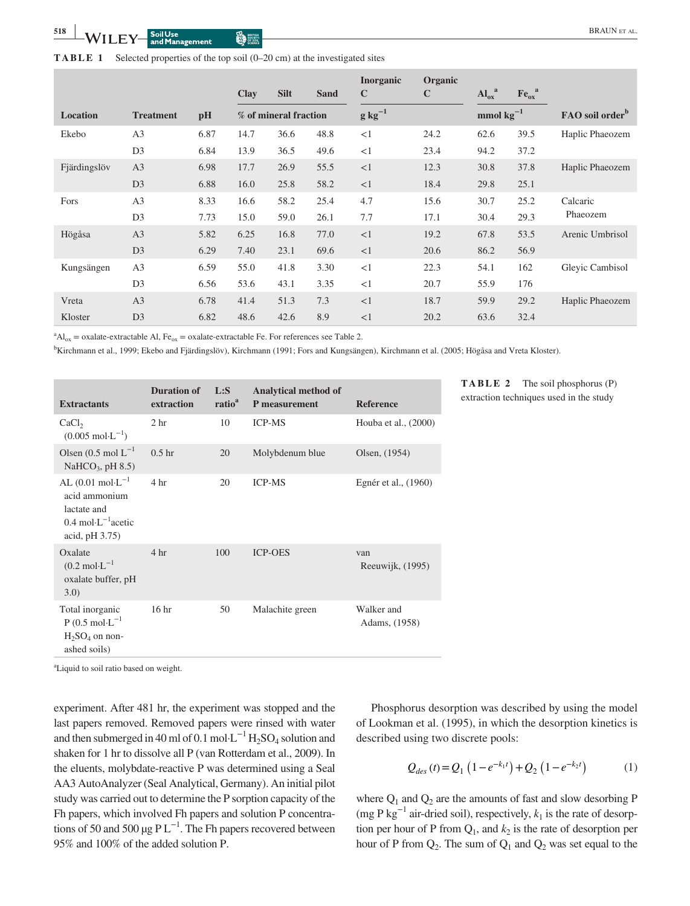#### **TABLE 1** Selected properties of the top soil (0–20 cm) at the investigated sites

|              |                  |      | <b>Clay</b>           | <b>Silt</b> | <b>Sand</b>  | Inorganic<br>$\mathbf C$ | Organic<br>$\mathbf C$ | $\mathrm{Al}_{ox}^{\quad a}$ | Fe <sub>ox</sub> <sup>a</sup> |                 |
|--------------|------------------|------|-----------------------|-------------|--------------|--------------------------|------------------------|------------------------------|-------------------------------|-----------------|
| Location     | <b>Treatment</b> | pH   | % of mineral fraction |             | $g\ kg^{-1}$ |                          | mmol $kg^{-1}$         |                              | FAO soil order <sup>b</sup>   |                 |
| Ekebo        | A <sub>3</sub>   | 6.87 | 14.7                  | 36.6        | 48.8         | <1                       | 24.2                   | 62.6                         | 39.5                          | Haplic Phaeozem |
|              | D <sub>3</sub>   | 6.84 | 13.9                  | 36.5        | 49.6         | <1                       | 23.4                   | 94.2                         | 37.2                          |                 |
| Fjärdingslöv | A <sub>3</sub>   | 6.98 | 17.7                  | 26.9        | 55.5         | <1                       | 12.3                   | 30.8                         | 37.8                          | Haplic Phaeozem |
|              | D <sub>3</sub>   | 6.88 | 16.0                  | 25.8        | 58.2         | <1                       | 18.4                   | 29.8                         | 25.1                          |                 |
| Fors         | A <sub>3</sub>   | 8.33 | 16.6                  | 58.2        | 25.4         | 4.7                      | 15.6                   | 30.7                         | 25.2                          | Calcaric        |
|              | D <sub>3</sub>   | 7.73 | 15.0                  | 59.0        | 26.1         | 7.7                      | 17.1                   | 30.4                         | 29.3                          | Phaeozem        |
| Högåsa       | A <sub>3</sub>   | 5.82 | 6.25                  | 16.8        | 77.0         | <1                       | 19.2                   | 67.8                         | 53.5                          | Arenic Umbrisol |
|              | D <sub>3</sub>   | 6.29 | 7.40                  | 23.1        | 69.6         | <1                       | 20.6                   | 86.2                         | 56.9                          |                 |
| Kungsängen   | A <sub>3</sub>   | 6.59 | 55.0                  | 41.8        | 3.30         | <1                       | 22.3                   | 54.1                         | 162                           | Gleyic Cambisol |
|              | D <sub>3</sub>   | 6.56 | 53.6                  | 43.1        | 3.35         | <1                       | 20.7                   | 55.9                         | 176                           |                 |
| Vreta        | A <sub>3</sub>   | 6.78 | 41.4                  | 51.3        | 7.3          | <1                       | 18.7                   | 59.9                         | 29.2                          | Haplic Phaeozem |
| Kloster      | D <sub>3</sub>   | 6.82 | 48.6                  | 42.6        | 8.9          | <1                       | 20.2                   | 63.6                         | 32.4                          |                 |

 ${}^{\rm a}$ Al<sub>ox</sub> = oxalate-extractable Al, Fe<sub>ox</sub> = oxalate-extractable Fe. For references see Table 2.

b Kirchmann et al., 1999; Ekebo and Fjärdingslöv), Kirchmann (1991; Fors and Kungsängen), Kirchmann et al. (2005; Högåsa and Vreta Kloster).

| <b>Extractants</b>                                                                                                                  | <b>Duration of</b><br>extraction | L:S<br>ratio <sup>a</sup> | <b>Analytical method of</b><br>P measurement | <b>Reference</b>            |
|-------------------------------------------------------------------------------------------------------------------------------------|----------------------------------|---------------------------|----------------------------------------------|-----------------------------|
| CaCl <sub>2</sub><br>$(0.005 \text{ mol} \cdot \text{L}^{-1})$                                                                      | 2 <sub>hr</sub>                  | 10                        | <b>ICP-MS</b>                                | Houba et al., $(2000)$      |
| Olsen $(0.5 \text{ mol L}^{-1})$<br>NaHCO <sub>3</sub> , pH $8.5$ )                                                                 | 0.5 <sub>hr</sub>                | 20                        | Molybdenum blue                              | Olsen, (1954)               |
| AL $(0.01 \text{ mol} \cdot \text{L}^{-1})$<br>acid ammonium<br>lactate and<br>0.4 mol $\cdot$ L $^{-1}$ acetic<br>acid, $pH$ 3.75) | 4 hr                             | 20                        | <b>ICP-MS</b>                                | Egnér et al., (1960)        |
| Oxalate<br>$(0.2 \text{ mol} \cdot \text{L}^{-1})$<br>oxalate buffer, pH<br>3.0)                                                    | 4 <sub>hr</sub>                  | 100                       | <b>ICP-OES</b>                               | van<br>Reeuwijk, $(1995)$   |
| Total inorganic<br>$P(0.5 \text{ mol} \cdot L^{-1})$<br>$H_2SO_4$ on non-<br>ashed soils)                                           | 16 <sub>hr</sub>                 | 50                        | Malachite green                              | Walker and<br>Adams, (1958) |

**TABLE 2** The soil phosphorus (P) extraction techniques used in the study

a Liquid to soil ratio based on weight.

experiment. After 481 hr, the experiment was stopped and the last papers removed. Removed papers were rinsed with water and then submerged in 40 ml of 0.1 mol⋅L<sup>-1</sup> H<sub>2</sub>SO<sub>4</sub> solution and shaken for 1 hr to dissolve all P (van Rotterdam et al., 2009). In the eluents, molybdate-reactive P was determined using a Seal AA3 AutoAnalyzer (Seal Analytical, Germany). An initial pilot study was carried out to determine the P sorption capacity of the Fh papers, which involved Fh papers and solution P concentrations of 50 and 500  $\mu$ g P L<sup>-1</sup>. The Fh papers recovered between 95% and 100% of the added solution P.

Phosphorus desorption was described by using the model of Lookman et al. (1995), in which the desorption kinetics is described using two discrete pools:

$$
Q_{des} (t) = Q_1 (1 - e^{-k_1 t}) + Q_2 (1 - e^{-k_2 t}) \tag{1}
$$

where  $Q_1$  and  $Q_2$  are the amounts of fast and slow desorbing P (mg P kg<sup>-1</sup> air-dried soil), respectively,  $k_1$  is the rate of desorption per hour of P from  $Q_1$ , and  $k_2$  is the rate of desorption per hour of P from  $Q_2$ . The sum of  $Q_1$  and  $Q_2$  was set equal to the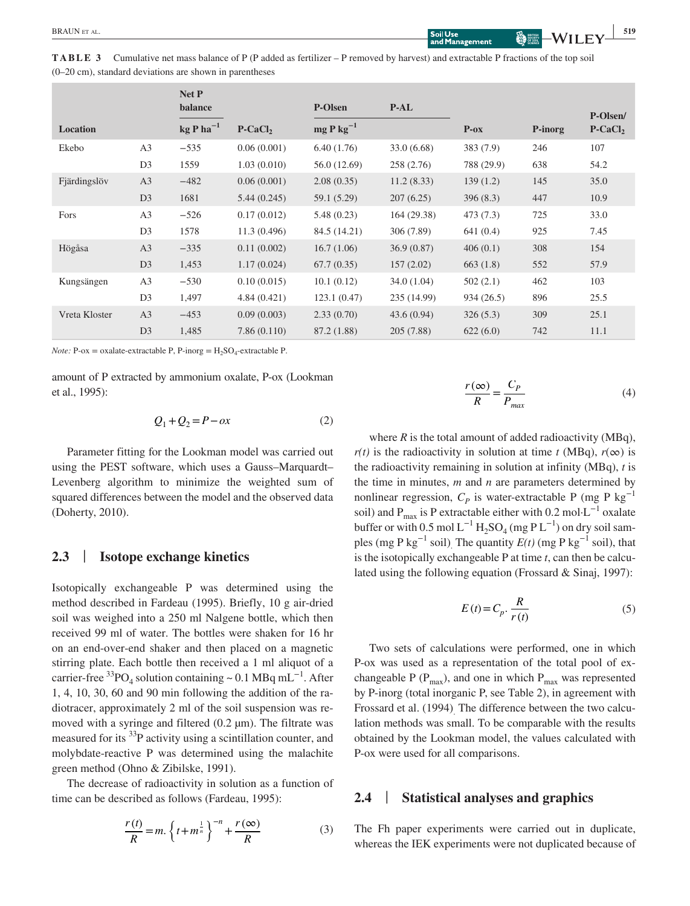**Location Net P balance** P-CaCl<sub>2</sub> **P-Olsen P-AL P-ox P-inorg P-Olsen/ P**-caCl<sub>2</sub> **mg P** kg<sup>-1</sup> **P**-caCl<sub>2</sub> *P*-caCl<sub>2</sub> Ekebo A3 −535 0.06 (0.001) 6.40 (1.76) 33.0 (6.68) 383 (7.9) 246 107  $D3$  1559 1.03 (0.010) 56.0 (12.69) 258 (2.76) 788 (29.9) 638 54.2 Fjärdingslöv A3 −482 0.06 (0.001) 2.08 (0.35) 11.2 (8.33) 139 (1.2) 145 35.0 D3 1681 5.44 (0.245) 59.1 (5.29) 207 (6.25) 396 (8.3) 447 10.9 Fors A3 −526 0.17 (0.012) 5.48 (0.23) 164 (29.38) 473 (7.3) 725 33.0 D3 1578 11.3 (0.496) 84.5 (14.21) 306 (7.89) 641 (0.4) 925 7.45 Högåsa A3 −335 0.11 (0.002) 16.7 (1.06) 36.9 (0.87) 406 (0.1) 308 154 D3 1,453 1.17 (0.024) 67.7 (0.35) 157 (2.02) 663 (1.8) 552 57.9 Kungsängen A3 −530 0.10 (0.015) 10.1 (0.12) 34.0 (1.04) 502 (2.1) 462 103 D3 1,497 4.84 (0.421) 123.1 (0.47) 235 (14.99) 934 (26.5) 896 25.5 Vreta Kloster A3 −453 0.09 (0.003) 2.33 (0.70) 43.6 (0.94) 326 (5.3) 309 25.1 D3 1,485 7.86 (0.110) 87.2 (1.88) 205 (7.88) 622 (6.0) 742 11.1

**TABLE 3** Cumulative net mass balance of P (P added as fertilizer – P removed by harvest) and extractable P fractions of the top soil (0–20 cm), standard deviations are shown in parentheses

*Note:*  $P$ -ox = oxalate-extractable  $P$ ,  $P$ -inorg =  $H_2SO_4$ -extractable  $P$ .

amount of P extracted by ammonium oxalate, P-ox (Lookman et al., 1995):

$$
Q_1 + Q_2 = P - \alpha x \tag{2}
$$

Parameter fitting for the Lookman model was carried out using the PEST software, which uses a Gauss–Marquardt– Levenberg algorithm to minimize the weighted sum of squared differences between the model and the observed data (Doherty, 2010).

# **2.3** | **Isotope exchange kinetics**

Isotopically exchangeable P was determined using the method described in Fardeau (1995). Briefly, 10 g air-dried soil was weighed into a 250 ml Nalgene bottle, which then received 99 ml of water. The bottles were shaken for 16 hr on an end-over-end shaker and then placed on a magnetic stirring plate. Each bottle then received a 1 ml aliquot of a carrier-free  ${}^{33}PO_4$  solution containing ~ 0.1 MBq mL<sup>-1</sup>. After 1, 4, 10, 30, 60 and 90 min following the addition of the radiotracer, approximately 2 ml of the soil suspension was removed with a syringe and filtered (0.2  $\mu$ m). The filtrate was measured for its <sup>33</sup>P activity using a scintillation counter, and molybdate-reactive P was determined using the malachite green method (Ohno & Zibilske, 1991).

The decrease of radioactivity in solution as a function of time can be described as follows (Fardeau, 1995):

$$
\frac{r(t)}{R} = m.\left\{t + m^{\frac{1}{n}}\right\}^{-n} + \frac{r(\infty)}{R}
$$
 (3)

$$
\frac{r(\infty)}{R} = \frac{C_P}{P_{max}}\tag{4}
$$

where  $R$  is the total amount of added radioactivity (MBq), *r(t)* is the radioactivity in solution at time *t* (MBq),  $r(\infty)$  is the radioactivity remaining in solution at infinity (MBq), *t* is the time in minutes, *m* and *n* are parameters determined by nonlinear regression,  $C_p$  is water-extractable P (mg P kg<sup>-1</sup>) soil) and P<sub>max</sub> is P extractable either with 0.2 mol⋅L<sup>-1</sup> oxalate buffer or with 0.5 mol  $L^{-1}$  H<sub>2</sub>SO<sub>4</sub> (mg P  $L^{-1}$ ) on dry soil samples (mg P kg<sup>-1</sup> soil). The quantity  $E(t)$  (mg P kg<sup>-1</sup> soil), that is the isotopically exchangeable P at time *t*, can then be calculated using the following equation (Frossard & Sinaj, 1997):

$$
E(t) = C_p \cdot \frac{R}{r(t)}\tag{5}
$$

Two sets of calculations were performed, one in which P-ox was used as a representation of the total pool of exchangeable P ( $P_{max}$ ), and one in which  $P_{max}$  was represented by P-inorg (total inorganic P, see Table 2), in agreement with Frossard et al. (1994). The difference between the two calculation methods was small. To be comparable with the results obtained by the Lookman model, the values calculated with P-ox were used for all comparisons.

# **2.4** | **Statistical analyses and graphics**

The Fh paper experiments were carried out in duplicate, whereas the IEK experiments were not duplicated because of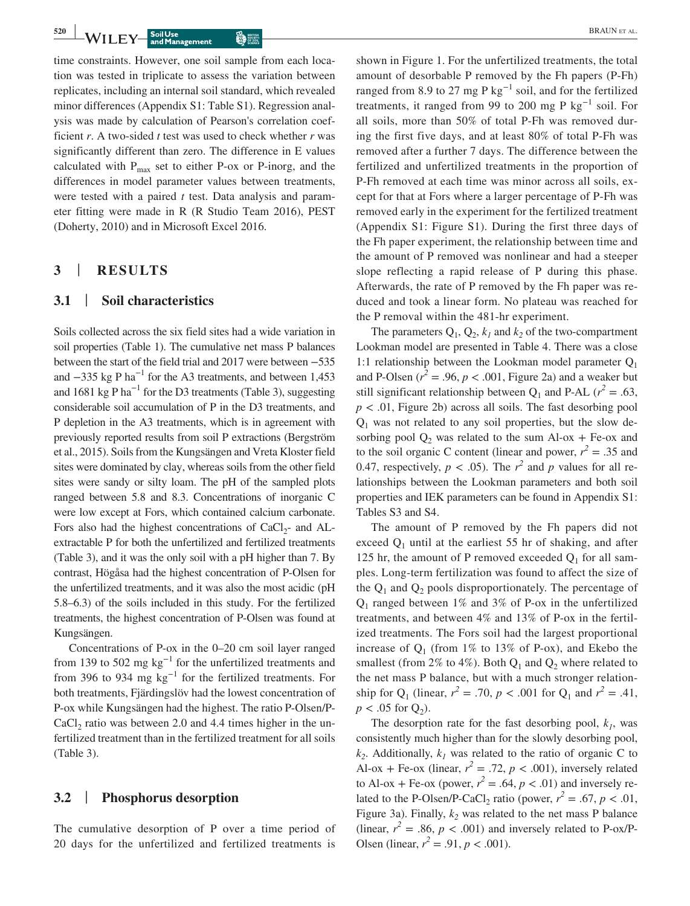**520 WILEY—SoilUse**<br>**EXAUNEY—SoilUse**<br>**EXAUNEY—SoilUse** 

time constraints. However, one soil sample from each location was tested in triplicate to assess the variation between replicates, including an internal soil standard, which revealed minor differences (Appendix S1: Table S1). Regression analysis was made by calculation of Pearson's correlation coefficient *r*. A two-sided *t* test was used to check whether *r* was significantly different than zero. The difference in E values calculated with  $P_{max}$  set to either P-ox or P-inorg, and the differences in model parameter values between treatments, were tested with a paired *t* test. Data analysis and parameter fitting were made in R (R Studio Team 2016), PEST (Doherty, 2010) and in Microsoft Excel 2016.

#### **3** | **RESULTS**

### **3.1** | **Soil characteristics**

Soils collected across the six field sites had a wide variation in soil properties (Table 1). The cumulative net mass P balances between the start of the field trial and 2017 were between −535 and  $-335$  kg P ha<sup>-1</sup> for the A3 treatments, and between 1,453 and 1681 kg P ha<sup> $-1$ </sup> for the D3 treatments (Table 3), suggesting considerable soil accumulation of P in the D3 treatments, and P depletion in the A3 treatments, which is in agreement with previously reported results from soil P extractions (Bergström et al., 2015). Soils from the Kungsängen and Vreta Kloster field sites were dominated by clay, whereas soils from the other field sites were sandy or silty loam. The pH of the sampled plots ranged between 5.8 and 8.3. Concentrations of inorganic C were low except at Fors, which contained calcium carbonate. Fors also had the highest concentrations of  $CaCl<sub>2</sub>-$  and  $AL$ extractable P for both the unfertilized and fertilized treatments (Table 3), and it was the only soil with a pH higher than 7. By contrast, Högåsa had the highest concentration of P-Olsen for the unfertilized treatments, and it was also the most acidic (pH 5.8–6.3) of the soils included in this study. For the fertilized treatments, the highest concentration of P-Olsen was found at Kungsängen.

Concentrations of P-ox in the 0–20 cm soil layer ranged from 139 to 502 mg  $kg^{-1}$  for the unfertilized treatments and from 396 to 934 mg  $kg^{-1}$  for the fertilized treatments. For both treatments, Fjärdingslöv had the lowest concentration of P-ox while Kungsängen had the highest. The ratio P-Olsen/P- $CaCl<sub>2</sub>$  ratio was between 2.0 and 4.4 times higher in the unfertilized treatment than in the fertilized treatment for all soils (Table 3).

## **3.2** | **Phosphorus desorption**

The cumulative desorption of P over a time period of 20 days for the unfertilized and fertilized treatments is

shown in Figure 1. For the unfertilized treatments, the total amount of desorbable P removed by the Fh papers (P-Fh) ranged from 8.9 to 27 mg P kg<sup>-1</sup> soil, and for the fertilized treatments, it ranged from 99 to 200 mg P kg<sup>-1</sup> soil. For all soils, more than 50% of total P-Fh was removed during the first five days, and at least 80% of total P-Fh was removed after a further 7 days. The difference between the fertilized and unfertilized treatments in the proportion of P-Fh removed at each time was minor across all soils, except for that at Fors where a larger percentage of P-Fh was removed early in the experiment for the fertilized treatment (Appendix S1: Figure S1). During the first three days of the Fh paper experiment, the relationship between time and the amount of P removed was nonlinear and had a steeper slope reflecting a rapid release of P during this phase. Afterwards, the rate of P removed by the Fh paper was reduced and took a linear form. No plateau was reached for the P removal within the 481-hr experiment.

The parameters  $Q_1$ ,  $Q_2$ ,  $k_1$  and  $k_2$  of the two-compartment Lookman model are presented in Table 4. There was a close 1:1 relationship between the Lookman model parameter  $Q_1$ and P-Olsen ( $r^2$  = .96,  $p$  < .001, Figure 2a) and a weaker but still significant relationship between  $Q_1$  and P-AL ( $r^2 = .63$ ,  $p < .01$ , Figure 2b) across all soils. The fast desorbing pool  $Q_1$  was not related to any soil properties, but the slow desorbing pool  $Q_2$  was related to the sum Al-ox + Fe-ox and to the soil organic C content (linear and power,  $r^2 = .35$  and 0.47, respectively,  $p < .05$ ). The  $r^2$  and  $p$  values for all relationships between the Lookman parameters and both soil properties and IEK parameters can be found in Appendix S1: Tables S3 and S4.

The amount of P removed by the Fh papers did not exceed  $Q_1$  until at the earliest 55 hr of shaking, and after 125 hr, the amount of P removed exceeded  $Q_1$  for all samples. Long-term fertilization was found to affect the size of the  $Q_1$  and  $Q_2$  pools disproportionately. The percentage of  $Q_1$  ranged between 1% and 3% of P-ox in the unfertilized treatments, and between 4% and 13% of P-ox in the fertilized treatments. The Fors soil had the largest proportional increase of  $Q_1$  (from 1% to 13% of P-ox), and Ekebo the smallest (from 2% to 4%). Both  $Q_1$  and  $Q_2$  where related to the net mass P balance, but with a much stronger relationship for  $Q_1$  (linear,  $r^2 = .70$ ,  $p < .001$  for  $Q_1$  and  $r^2 = .41$ ,  $p < .05$  for  $Q_2$ ).

The desorption rate for the fast desorbing pool,  $k_1$ , was consistently much higher than for the slowly desorbing pool,  $k_2$ . Additionally,  $k_1$  was related to the ratio of organic C to Al-ox + Fe-ox (linear,  $r^2 = .72$ ,  $p < .001$ ), inversely related to Al-ox + Fe-ox (power,  $r^2 = .64$ ,  $p < .01$ ) and inversely related to the P-Olsen/P-CaCl<sub>2</sub> ratio (power,  $r^2 = .67$ ,  $p < .01$ , Figure 3a). Finally,  $k_2$  was related to the net mass P balance (linear,  $r^2 = .86$ ,  $p < .001$ ) and inversely related to P-ox/P-Olsen (linear,  $r^2 = .91$ ,  $p < .001$ ).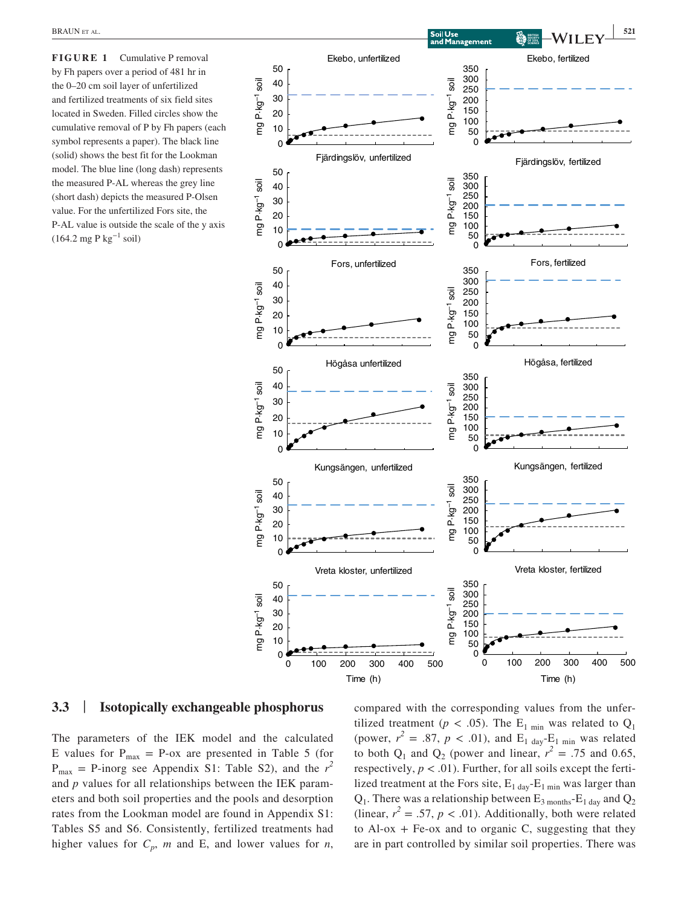**FIGURE 1** Cumulative P removal by Fh papers over a period of 481 hr in the 0–20 cm soil layer of unfertilized and fertilized treatments of six field sites located in Sweden. Filled circles show the cumulative removal of P by Fh papers (each symbol represents a paper). The black line (solid) shows the best fit for the Lookman model. The blue line (long dash) represents the measured P-AL whereas the grey line (short dash) depicts the measured P-Olsen value. For the unfertilized Fors site, the P-AL value is outside the scale of the y axis  $(164.2 \text{ mg } P \text{ kg}^{-1} \text{ soil})$ 



#### **3.3** | **Isotopically exchangeable phosphorus**

The parameters of the IEK model and the calculated E values for  $P_{max}$  = P-ox are presented in Table 5 (for  $P_{\text{max}} = P$ -inorg see Appendix S1: Table S2), and the  $r^2$ and *p* values for all relationships between the IEK parameters and both soil properties and the pools and desorption rates from the Lookman model are found in Appendix S1: Tables S5 and S6. Consistently, fertilized treatments had higher values for  $C_p$ , *m* and E, and lower values for *n*, compared with the corresponding values from the unfertilized treatment ( $p < .05$ ). The E<sub>1 min</sub> was related to Q<sub>1</sub> (power,  $r^2 = .87$ ,  $p < .01$ ), and  $E_{1 \text{ day}} - E_{1 \text{ min}}$  was related to both  $Q_1$  and  $Q_2$  (power and linear,  $r^2 = .75$  and 0.65, respectively,  $p < .01$ ). Further, for all soils except the fertilized treatment at the Fors site,  $E_{1 \text{ day}}-E_{1 \text{ min}}$  was larger than  $Q_1$ . There was a relationship between  $E_3$  months- $E_1$  day and  $Q_2$ (linear,  $r^2 = .57$ ,  $p < .01$ ). Additionally, both were related to Al-ox  $+$  Fe-ox and to organic C, suggesting that they are in part controlled by similar soil properties. There was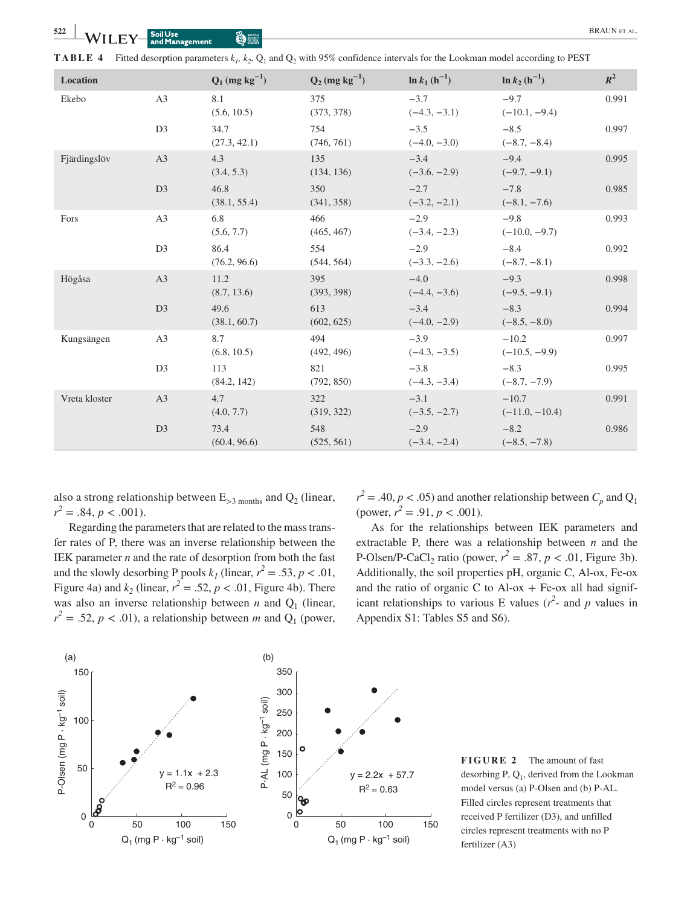| Location      |                | $Q_1$ (mg kg <sup>-1</sup> ) | $Q_2$ (mg kg <sup>-1</sup> ) | $\ln k_1 (\text{h}^{-1})$ | $\ln k_2$ (h <sup>-1</sup> ) | $R^2$ |
|---------------|----------------|------------------------------|------------------------------|---------------------------|------------------------------|-------|
| Ekebo         | A3             | 8.1<br>(5.6, 10.5)           | 375<br>(373, 378)            | $-3.7$<br>$(-4.3, -3.1)$  | $-9.7$<br>$(-10.1, -9.4)$    | 0.991 |
|               | D <sub>3</sub> | 34.7<br>(27.3, 42.1)         | 754<br>(746, 761)            | $-3.5$<br>$(-4.0, -3.0)$  | $-8.5$<br>$(-8.7, -8.4)$     | 0.997 |
| Fjärdingslöv  | A <sub>3</sub> | 4.3<br>(3.4, 5.3)            | 135<br>(134, 136)            | $-3.4$<br>$(-3.6, -2.9)$  | $-9.4$<br>$(-9.7, -9.1)$     | 0.995 |
|               | D <sub>3</sub> | 46.8<br>(38.1, 55.4)         | 350<br>(341, 358)            | $-2.7$<br>$(-3.2, -2.1)$  | $-7.8$<br>$(-8.1, -7.6)$     | 0.985 |
| Fors          | A3             | 6.8<br>(5.6, 7.7)            | 466<br>(465, 467)            | $-2.9$<br>$(-3.4, -2.3)$  | $-9.8$<br>$(-10.0, -9.7)$    | 0.993 |
|               | D <sub>3</sub> | 86.4<br>(76.2, 96.6)         | 554<br>(544, 564)            | $-2.9$<br>$(-3.3, -2.6)$  | $-8.4$<br>$(-8.7, -8.1)$     | 0.992 |
| Högåsa        | A3             | 11.2<br>(8.7, 13.6)          | 395<br>(393, 398)            | $-4.0$<br>$(-4.4, -3.6)$  | $-9.3$<br>$(-9.5, -9.1)$     | 0.998 |
|               | D <sub>3</sub> | 49.6<br>(38.1, 60.7)         | 613<br>(602, 625)            | $-3.4$<br>$(-4.0, -2.9)$  | $-8.3$<br>$(-8.5, -8.0)$     | 0.994 |
| Kungsängen    | A3             | 8.7<br>(6.8, 10.5)           | 494<br>(492, 496)            | $-3.9$<br>$(-4.3, -3.5)$  | $-10.2$<br>$(-10.5, -9.9)$   | 0.997 |
|               | D <sub>3</sub> | 113<br>(84.2, 142)           | 821<br>(792, 850)            | $-3.8$<br>$(-4.3, -3.4)$  | $-8.3$<br>$(-8.7, -7.9)$     | 0.995 |
| Vreta kloster | A3             | 4.7<br>(4.0, 7.7)            | 322<br>(319, 322)            | $-3.1$<br>$(-3.5, -2.7)$  | $-10.7$<br>$(-11.0, -10.4)$  | 0.991 |
|               | D3             | 73.4<br>(60.4, 96.6)         | 548<br>(525, 561)            | $-2.9$<br>$(-3.4, -2.4)$  | $-8.2$<br>$(-8.5, -7.8)$     | 0.986 |

**TABLE 4** Fitted desorption parameters  $k_1$ ,  $k_2$ ,  $Q_1$  and  $Q_2$  with 95% confidence intervals for the Lookman model according to PEST

also a strong relationship between  $E_{>3 \text{ months}}$  and  $Q_2$  (linear,  $r^2 = .84, p < .001$ ).

Regarding the parameters that are related to the mass transfer rates of P, there was an inverse relationship between the IEK parameter *n* and the rate of desorption from both the fast and the slowly desorbing P pools  $k_l$  (linear,  $r^2 = .53$ ,  $p < .01$ , Figure 4a) and  $k_2$  (linear,  $r^2 = .52$ ,  $p < .01$ , Figure 4b). There was also an inverse relationship between  $n$  and  $Q_1$  (linear,  $r^2 = .52$ ,  $p < .01$ ), a relationship between *m* and Q<sub>1</sub> (power,  $r^2$  = .40, *p* < .05) and another relationship between  $C_p$  and Q<sub>1</sub> (power,  $r^2 = .91$ ,  $p < .001$ ).

As for the relationships between IEK parameters and extractable P, there was a relationship between *n* and the P-Olsen/P-CaCl<sub>2</sub> ratio (power,  $r^2 = .87$ ,  $p < .01$ , Figure 3b). Additionally, the soil properties pH, organic C, Al-ox, Fe-ox and the ratio of organic C to  $Al-ox + Fe-ox$  all had significant relationships to various E values  $(r^2$ - and p values in Appendix S1: Tables S5 and S6).



**FIGURE 2** The amount of fast desorbing  $P$ ,  $Q_1$ , derived from the Lookman model versus (a) P-Olsen and (b) P-AL. Filled circles represent treatments that received P fertilizer (D3), and unfilled circles represent treatments with no P fertilizer (A3)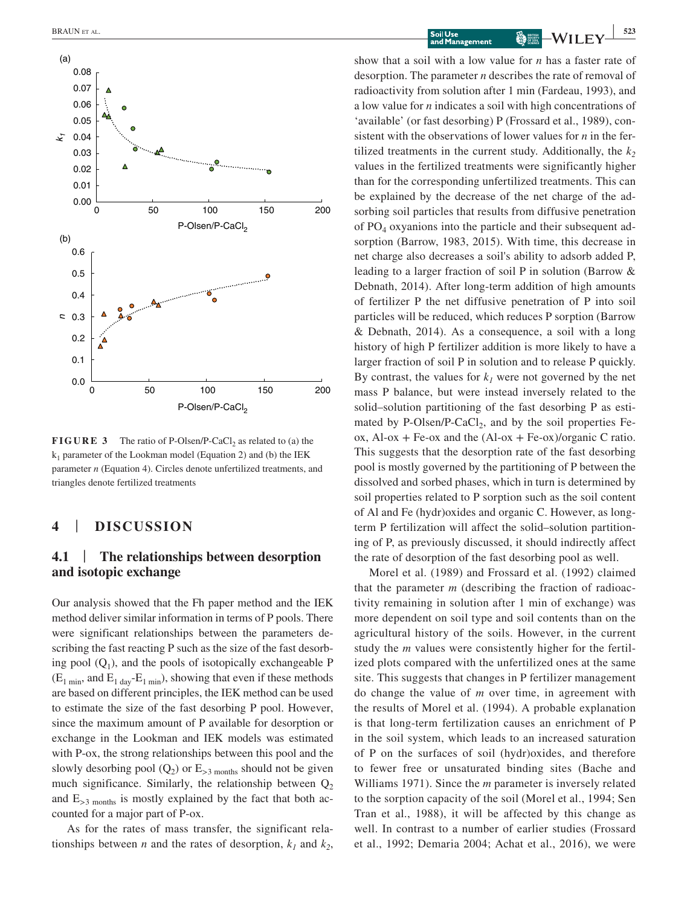

**FIGURE 3** The ratio of P-Olsen/P-CaCl<sub>2</sub> as related to (a) the  $k_1$  parameter of the Lookman model (Equation 2) and (b) the IEK parameter *n* (Equation 4). Circles denote unfertilized treatments, and triangles denote fertilized treatments

# **4** | **DISCUSSION**

# **4.1** | **The relationships between desorption and isotopic exchange**

Our analysis showed that the Fh paper method and the IEK method deliver similar information in terms of P pools. There were significant relationships between the parameters describing the fast reacting P such as the size of the fast desorbing pool  $(Q_1)$ , and the pools of isotopically exchangeable P  $(E_{1 \text{ min}}, \text{ and } E_{1 \text{ day}} - E_{1 \text{ min}})$ , showing that even if these methods are based on different principles, the IEK method can be used to estimate the size of the fast desorbing P pool. However, since the maximum amount of P available for desorption or exchange in the Lookman and IEK models was estimated with P-ox, the strong relationships between this pool and the slowly desorbing pool  $(Q_2)$  or  $E_{>3 \text{ months}}$  should not be given much significance. Similarly, the relationship between  $Q_2$ and  $E_{>3 \text{ months}}$  is mostly explained by the fact that both accounted for a major part of P-ox.

As for the rates of mass transfer, the significant relationships between *n* and the rates of desorption,  $k_1$  and  $k_2$ ,

show that a soil with a low value for *n* has a faster rate of desorption. The parameter *n* describes the rate of removal of radioactivity from solution after 1 min (Fardeau, 1993), and a low value for *n* indicates a soil with high concentrations of 'available' (or fast desorbing) P (Frossard et al., 1989), consistent with the observations of lower values for *n* in the fertilized treatments in the current study. Additionally, the  $k<sub>2</sub>$ values in the fertilized treatments were significantly higher than for the corresponding unfertilized treatments. This can be explained by the decrease of the net charge of the adsorbing soil particles that results from diffusive penetration of  $PO_4$  oxyanions into the particle and their subsequent adsorption (Barrow, 1983, 2015). With time, this decrease in net charge also decreases a soil's ability to adsorb added P, leading to a larger fraction of soil P in solution (Barrow & Debnath, 2014). After long-term addition of high amounts of fertilizer P the net diffusive penetration of P into soil particles will be reduced, which reduces P sorption (Barrow & Debnath, 2014). As a consequence, a soil with a long history of high P fertilizer addition is more likely to have a larger fraction of soil P in solution and to release P quickly. By contrast, the values for  $k_1$  were not governed by the net mass P balance, but were instead inversely related to the solid–solution partitioning of the fast desorbing P as estimated by P-Olsen/P-CaCl<sub>2</sub>, and by the soil properties Feox, Al-ox + Fe-ox and the  $(Al-ox + Fe-ox)/organic$  C ratio. This suggests that the desorption rate of the fast desorbing pool is mostly governed by the partitioning of P between the dissolved and sorbed phases, which in turn is determined by soil properties related to P sorption such as the soil content of Al and Fe (hydr)oxides and organic C. However, as longterm P fertilization will affect the solid–solution partitioning of P, as previously discussed, it should indirectly affect the rate of desorption of the fast desorbing pool as well.

Morel et al. (1989) and Frossard et al. (1992) claimed that the parameter *m* (describing the fraction of radioactivity remaining in solution after 1 min of exchange) was more dependent on soil type and soil contents than on the agricultural history of the soils. However, in the current study the *m* values were consistently higher for the fertilized plots compared with the unfertilized ones at the same site. This suggests that changes in P fertilizer management do change the value of *m* over time, in agreement with the results of Morel et al. (1994). A probable explanation is that long-term fertilization causes an enrichment of P in the soil system, which leads to an increased saturation of P on the surfaces of soil (hydr)oxides, and therefore to fewer free or unsaturated binding sites (Bache and Williams 1971). Since the *m* parameter is inversely related to the sorption capacity of the soil (Morel et al., 1994; Sen Tran et al., 1988), it will be affected by this change as well. In contrast to a number of earlier studies (Frossard et al., 1992; Demaria 2004; Achat et al., 2016), we were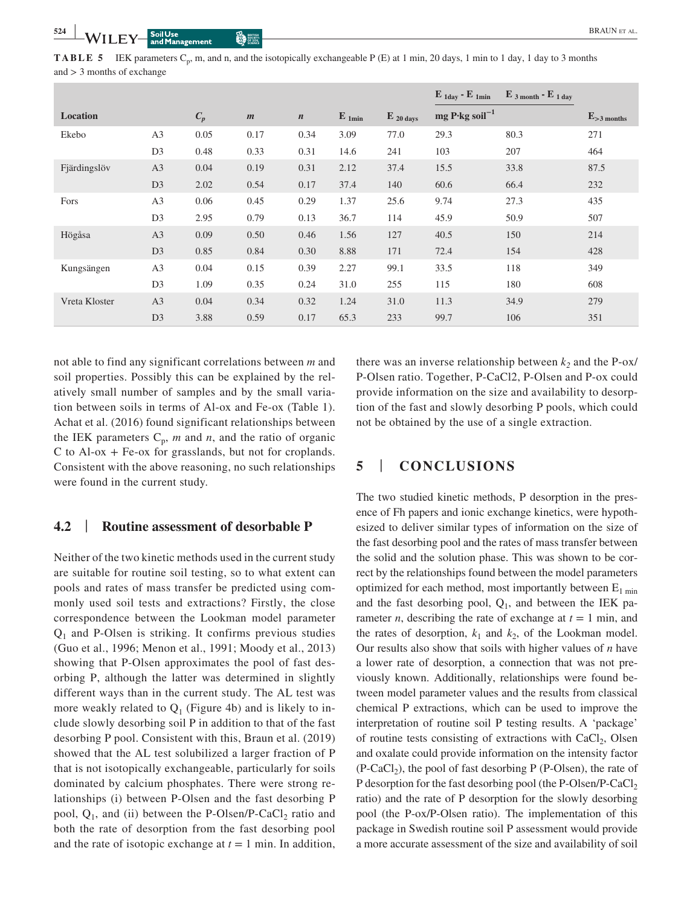**TABLE 5** IEK parameters C<sub>p</sub>, m, and n, and the isotopically exchangeable P (E) at 1 min, 20 days, 1 min to 1 day, 1 day to 3 months and > 3 months of exchange

|               |                |       |                  |                  |            |                       | $E_{1day} - E_{1min}$        | $E_{3 \text{ month}}$ - $E_{1 \text{ day}}$ |                         |
|---------------|----------------|-------|------------------|------------------|------------|-----------------------|------------------------------|---------------------------------------------|-------------------------|
| Location      |                | $C_p$ | $\boldsymbol{m}$ | $\boldsymbol{n}$ | $E_{1min}$ | $E_{20 \text{ days}}$ | $mg P$ kg soil <sup>-1</sup> |                                             | $E_{>3 \text{ months}}$ |
| Ekebo         | A <sub>3</sub> | 0.05  | 0.17             | 0.34             | 3.09       | 77.0                  | 29.3                         | 80.3                                        | 271                     |
|               | D <sub>3</sub> | 0.48  | 0.33             | 0.31             | 14.6       | 241                   | 103                          | 207                                         | 464                     |
| Fjärdingslöv  | A <sub>3</sub> | 0.04  | 0.19             | 0.31             | 2.12       | 37.4                  | 15.5                         | 33.8                                        | 87.5                    |
|               | D <sub>3</sub> | 2.02  | 0.54             | 0.17             | 37.4       | 140                   | 60.6                         | 66.4                                        | 232                     |
| Fors          | A <sub>3</sub> | 0.06  | 0.45             | 0.29             | 1.37       | 25.6                  | 9.74                         | 27.3                                        | 435                     |
|               | D <sub>3</sub> | 2.95  | 0.79             | 0.13             | 36.7       | 114                   | 45.9                         | 50.9                                        | 507                     |
| Högåsa        | A <sub>3</sub> | 0.09  | 0.50             | 0.46             | 1.56       | 127                   | 40.5                         | 150                                         | 214                     |
|               | D <sub>3</sub> | 0.85  | 0.84             | 0.30             | 8.88       | 171                   | 72.4                         | 154                                         | 428                     |
| Kungsängen    | A <sub>3</sub> | 0.04  | 0.15             | 0.39             | 2.27       | 99.1                  | 33.5                         | 118                                         | 349                     |
|               | D <sub>3</sub> | 1.09  | 0.35             | 0.24             | 31.0       | 255                   | 115                          | 180                                         | 608                     |
| Vreta Kloster | A <sub>3</sub> | 0.04  | 0.34             | 0.32             | 1.24       | 31.0                  | 11.3                         | 34.9                                        | 279                     |
|               | D <sub>3</sub> | 3.88  | 0.59             | 0.17             | 65.3       | 233                   | 99.7                         | 106                                         | 351                     |

not able to find any significant correlations between *m* and soil properties. Possibly this can be explained by the relatively small number of samples and by the small variation between soils in terms of Al-ox and Fe-ox (Table 1). Achat et al. (2016) found significant relationships between the IEK parameters  $C_p$ , *m* and *n*, and the ratio of organic C to  $Al-ox + Fe-ox$  for grasslands, but not for croplands. Consistent with the above reasoning, no such relationships were found in the current study.

## **4.2** | **Routine assessment of desorbable P**

Neither of the two kinetic methods used in the current study are suitable for routine soil testing, so to what extent can pools and rates of mass transfer be predicted using commonly used soil tests and extractions? Firstly, the close correspondence between the Lookman model parameter  $Q_1$  and P-Olsen is striking. It confirms previous studies (Guo et al., 1996; Menon et al., 1991; Moody et al., 2013) showing that P-Olsen approximates the pool of fast desorbing P, although the latter was determined in slightly different ways than in the current study. The AL test was more weakly related to  $Q_1$  (Figure 4b) and is likely to include slowly desorbing soil P in addition to that of the fast desorbing P pool. Consistent with this, Braun et al. (2019) showed that the AL test solubilized a larger fraction of P that is not isotopically exchangeable, particularly for soils dominated by calcium phosphates. There were strong relationships (i) between P-Olsen and the fast desorbing P pool,  $Q_1$ , and (ii) between the P-Olsen/P-CaCl<sub>2</sub> ratio and both the rate of desorption from the fast desorbing pool and the rate of isotopic exchange at  $t = 1$  min. In addition,

there was an inverse relationship between  $k_2$  and the P-ox/ P-Olsen ratio. Together, P-CaCl2, P-Olsen and P-ox could provide information on the size and availability to desorption of the fast and slowly desorbing P pools, which could not be obtained by the use of a single extraction.

# **5** | **CONCLUSIONS**

The two studied kinetic methods, P desorption in the presence of Fh papers and ionic exchange kinetics, were hypothesized to deliver similar types of information on the size of the fast desorbing pool and the rates of mass transfer between the solid and the solution phase. This was shown to be correct by the relationships found between the model parameters optimized for each method, most importantly between  $E_1$  min and the fast desorbing pool,  $Q_1$ , and between the IEK parameter *n*, describing the rate of exchange at  $t = 1$  min, and the rates of desorption,  $k_1$  and  $k_2$ , of the Lookman model. Our results also show that soils with higher values of *n* have a lower rate of desorption, a connection that was not previously known. Additionally, relationships were found between model parameter values and the results from classical chemical P extractions, which can be used to improve the interpretation of routine soil P testing results. A 'package' of routine tests consisting of extractions with  $CaCl<sub>2</sub>$ , Olsen and oxalate could provide information on the intensity factor  $(P-CaCl<sub>2</sub>)$ , the pool of fast desorbing P (P-Olsen), the rate of P desorption for the fast desorbing pool (the P-Olsen/P-CaCl<sub>2</sub> ratio) and the rate of P desorption for the slowly desorbing pool (the P-ox/P-Olsen ratio). The implementation of this package in Swedish routine soil P assessment would provide a more accurate assessment of the size and availability of soil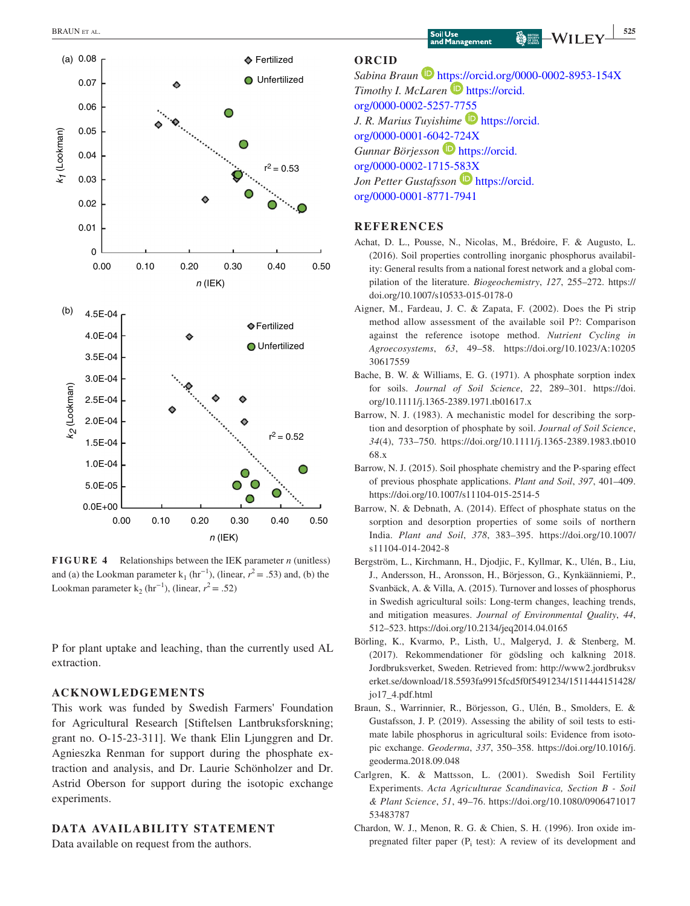

**FIGURE 4** Relationships between the IEK parameter *n* (unitless) and (a) the Lookman parameter  $k_1$  (hr<sup>-1</sup>), (linear,  $r^2 = .53$ ) and, (b) the Lookman parameter  $k_2$  (hr<sup>-1</sup>), (linear,  $r^2 = .52$ )

P for plant uptake and leaching, than the currently used AL extraction.

## **ACKNOWLEDGEMENTS**

This work was funded by Swedish Farmers' Foundation for Agricultural Research [Stiftelsen Lantbruksforskning; grant no. O-15-23-311]. We thank Elin Ljunggren and Dr. Agnieszka Renman for support during the phosphate extraction and analysis, and Dr. Laurie Schönholzer and Dr. Astrid Oberson for support during the isotopic exchange experiments.

### **DATA AVAILABILITY STATEMENT**

Data available on request from the authors.

#### **ORCID**

*Sabina Braun* <https://orcid.org/0000-0002-8953-154X> *Timothy I. McLaren* **D** [https://orcid.](https://orcid.org/0000-0002-5257-7755) [org/0000-0002-5257-7755](https://orcid.org/0000-0002-5257-7755) *J. R. Marius Tuyishime* [https://orcid.](https://orcid.org/0000-0001-6042-724X) [org/0000-0001-6042-724X](https://orcid.org/0000-0001-6042-724X) *Gunnar Börjesson* [https://orcid.](https://orcid.org/0000-0002-1715-583X) [org/0000-0002-1715-583X](https://orcid.org/0000-0002-1715-583X) *Jon Petter Gustafsson* **[https://orcid.](https://orcid.org/0000-0001-8771-7941)** [org/0000-0001-8771-7941](https://orcid.org/0000-0001-8771-7941)

#### **REFERENCES**

- Achat, D. L., Pousse, N., Nicolas, M., Brédoire, F. & Augusto, L. (2016). Soil properties controlling inorganic phosphorus availability: General results from a national forest network and a global compilation of the literature. *Biogeochemistry*, *127*, 255–272. [https://](https://doi.org/10.1007/s10533-015-0178-0) [doi.org/10.1007/s10533-015-0178-0](https://doi.org/10.1007/s10533-015-0178-0)
- Aigner, M., Fardeau, J. C. & Zapata, F. (2002). Does the Pi strip method allow assessment of the available soil P?: Comparison against the reference isotope method. *Nutrient Cycling in Agroecosystems*, *63*, 49–58. [https://doi.org/10.1023/A:10205](https://doi.org/10.1023/A:1020530617559) [30617559](https://doi.org/10.1023/A:1020530617559)
- Bache, B. W. & Williams, E. G. (1971). A phosphate sorption index for soils. *Journal of Soil Science*, *22*, 289–301. [https://doi.](https://doi.org/10.1111/j.1365-2389.1971.tb01617.x) [org/10.1111/j.1365-2389.1971.tb01617.x](https://doi.org/10.1111/j.1365-2389.1971.tb01617.x)
- Barrow, N. J. (1983). A mechanistic model for describing the sorption and desorption of phosphate by soil. *Journal of Soil Science*, *34*(4), 733–750. [https://doi.org/10.1111/j.1365-2389.1983.tb010](https://doi.org/10.1111/j.1365-2389.1983.tb01068.x) [68.x](https://doi.org/10.1111/j.1365-2389.1983.tb01068.x)
- Barrow, N. J. (2015). Soil phosphate chemistry and the P-sparing effect of previous phosphate applications. *Plant and Soil*, *397*, 401–409. <https://doi.org/10.1007/s11104-015-2514-5>
- Barrow, N. & Debnath, A. (2014). Effect of phosphate status on the sorption and desorption properties of some soils of northern India. *Plant and Soil*, *378*, 383–395. [https://doi.org/10.1007/](https://doi.org/10.1007/s11104-014-2042-8) [s11104-014-2042-8](https://doi.org/10.1007/s11104-014-2042-8)
- Bergström, L., Kirchmann, H., Djodjic, F., Kyllmar, K., Ulén, B., Liu, J., Andersson, H., Aronsson, H., Börjesson, G., Kynkäänniemi, P., Svanbäck, A. & Villa, A. (2015). Turnover and losses of phosphorus in Swedish agricultural soils: Long-term changes, leaching trends, and mitigation measures. *Journal of Environmental Quality*, *44*, 512–523. <https://doi.org/10.2134/jeq2014.04.0165>
- Börling, K., Kvarmo, P., Listh, U., Malgeryd, J. & Stenberg, M. (2017). Rekommendationer för gödsling och kalkning 2018. Jordbruksverket, Sweden. Retrieved from: [http://www2.jordbruksv](http://www2.jordbruksverket.se/download/18.5593fa9915fcd5f0f5491234/1511444151428/jo17_4.pdf.html) [erket.se/download/18.5593fa9915fcd5f0f5491234/1511444151428/](http://www2.jordbruksverket.se/download/18.5593fa9915fcd5f0f5491234/1511444151428/jo17_4.pdf.html) [jo17\\_4.pdf.html](http://www2.jordbruksverket.se/download/18.5593fa9915fcd5f0f5491234/1511444151428/jo17_4.pdf.html)
- Braun, S., Warrinnier, R., Börjesson, G., Ulén, B., Smolders, E. & Gustafsson, J. P. (2019). Assessing the ability of soil tests to estimate labile phosphorus in agricultural soils: Evidence from isotopic exchange. *Geoderma*, *337*, 350–358. [https://doi.org/10.1016/j.](https://doi.org/10.1016/j.geoderma.2018.09.048) [geoderma.2018.09.048](https://doi.org/10.1016/j.geoderma.2018.09.048)
- Carlgren, K. & Mattsson, L. (2001). Swedish Soil Fertility Experiments. *Acta Agriculturae Scandinavica, Section B - Soil & Plant Science*, *51*, 49–76. [https://doi.org/10.1080/0906471017](https://doi.org/10.1080/090647101753483787) [53483787](https://doi.org/10.1080/090647101753483787)
- Chardon, W. J., Menon, R. G. & Chien, S. H. (1996). Iron oxide impregnated filter paper  $(P_i$  test): A review of its development and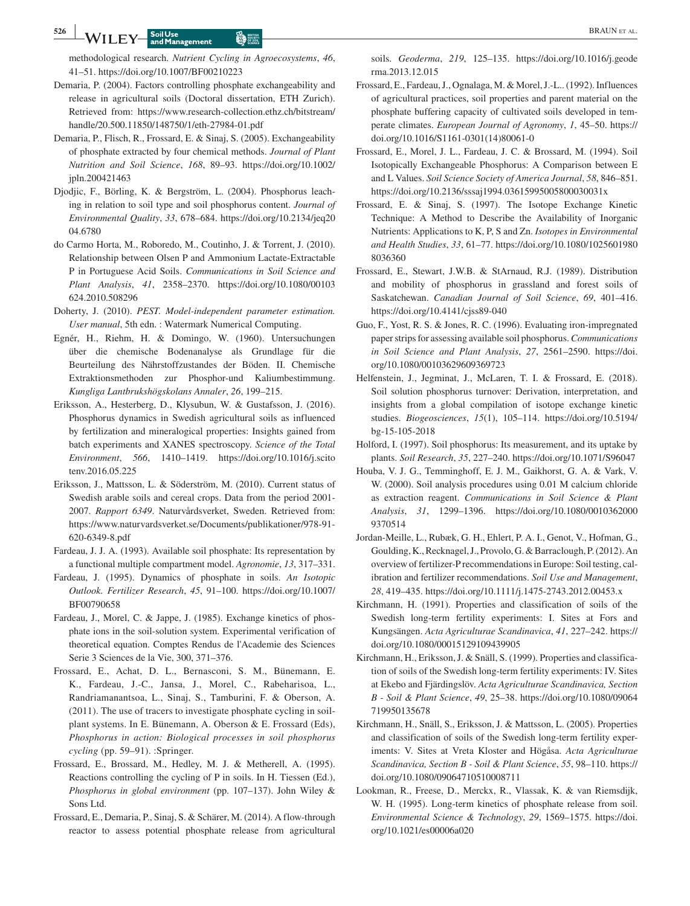methodological research. *Nutrient Cycling in Agroecosystems*, *46*, 41–51. <https://doi.org/10.1007/BF00210223>

- Demaria, P. (2004). Factors controlling phosphate exchangeability and release in agricultural soils (Doctoral dissertation, ETH Zurich). Retrieved from: [https://www.research-collection.ethz.ch/bitstream/](https://www.research-collection.ethz.ch/bitstream/handle/20.500.11850/148750/1/eth-27984-01.pdf) [handle/20.500.11850/148750/1/eth-27984-01.pdf](https://www.research-collection.ethz.ch/bitstream/handle/20.500.11850/148750/1/eth-27984-01.pdf)
- Demaria, P., Flisch, R., Frossard, E. & Sinaj, S. (2005). Exchangeability of phosphate extracted by four chemical methods. *Journal of Plant Nutrition and Soil Science*, *168*, 89–93. [https://doi.org/10.1002/](https://doi.org/10.1002/jpln.200421463) [jpln.200421463](https://doi.org/10.1002/jpln.200421463)
- Djodjic, F., Börling, K. & Bergström, L. (2004). Phosphorus leaching in relation to soil type and soil phosphorus content. *Journal of Environmental Quality*, *33*, 678–684. [https://doi.org/10.2134/jeq20](https://doi.org/10.2134/jeq2004.6780) [04.6780](https://doi.org/10.2134/jeq2004.6780)
- do Carmo Horta, M., Roboredo, M., Coutinho, J. & Torrent, J. (2010). Relationship between Olsen P and Ammonium Lactate-Extractable P in Portuguese Acid Soils. *Communications in Soil Science and Plant Analysis*, *41*, 2358–2370. [https://doi.org/10.1080/00103](https://doi.org/10.1080/00103624.2010.508296) [624.2010.508296](https://doi.org/10.1080/00103624.2010.508296)
- Doherty, J. (2010). *PEST. Model-independent parameter estimation. User manual*, 5th edn. : Watermark Numerical Computing.
- Egnér, H., Riehm, H. & Domingo, W. (1960). Untersuchungen über die chemische Bodenanalyse als Grundlage für die Beurteilung des Nährstoffzustandes der Böden. II. Chemische Extraktionsmethoden zur Phosphor-und Kaliumbestimmung. *Kungliga Lantbrukshögskolans Annaler*, *26*, 199–215.
- Eriksson, A., Hesterberg, D., Klysubun, W. & Gustafsson, J. (2016). Phosphorus dynamics in Swedish agricultural soils as influenced by fertilization and mineralogical properties: Insights gained from batch experiments and XANES spectroscopy. *Science of the Total Environment*, *566*, 1410–1419. [https://doi.org/10.1016/j.scito](https://doi.org/10.1016/j.scitotenv.2016.05.225) [tenv.2016.05.225](https://doi.org/10.1016/j.scitotenv.2016.05.225)
- Eriksson, J., Mattsson, L. & Söderström, M. (2010). Current status of Swedish arable soils and cereal crops. Data from the period 2001- 2007. *Rapport 6349*. Naturvårdsverket, Sweden. Retrieved from: [https://www.naturvardsverket.se/Documents/publikationer/978-91-](https://www.naturvardsverket.se/Documents/publikationer/978-91-620-6349-8.pdf) [620-6349-8.pdf](https://www.naturvardsverket.se/Documents/publikationer/978-91-620-6349-8.pdf)
- Fardeau, J. J. A. (1993). Available soil phosphate: Its representation by a functional multiple compartment model. *Agronomie*, *13*, 317–331.
- Fardeau, J. (1995). Dynamics of phosphate in soils. *An Isotopic Outlook. Fertilizer Research*, *45*, 91–100. [https://doi.org/10.1007/](https://doi.org/10.1007/BF00790658) [BF00790658](https://doi.org/10.1007/BF00790658)
- Fardeau, J., Morel, C. & Jappe, J. (1985). Exchange kinetics of phosphate ions in the soil-solution system. Experimental verification of theoretical equation. Comptes Rendus de l'Academie des Sciences Serie 3 Sciences de la Vie, 300, 371–376.
- Frossard, E., Achat, D. L., Bernasconi, S. M., Bünemann, E. K., Fardeau, J.-C., Jansa, J., Morel, C., Rabeharisoa, L., Randriamanantsoa, L., Sinaj, S., Tamburini, F. & Oberson, A. (2011). The use of tracers to investigate phosphate cycling in soilplant systems. In E. Bünemann, A. Oberson & E. Frossard (Eds), *Phosphorus in action: Biological processes in soil phosphorus cycling* (pp. 59–91). :Springer.
- Frossard, E., Brossard, M., Hedley, M. J. & Metherell, A. (1995). Reactions controlling the cycling of P in soils. In H. Tiessen (Ed.), *Phosphorus in global environment* (pp. 107–137). John Wiley & Sons Ltd.
- Frossard, E., Demaria, P., Sinaj, S. & Schärer, M. (2014). A flow-through reactor to assess potential phosphate release from agricultural

soils. *Geoderma*, *219*, 125–135. [https://doi.org/10.1016/j.geode](https://doi.org/10.1016/j.geoderma.2013.12.015) [rma.2013.12.015](https://doi.org/10.1016/j.geoderma.2013.12.015)

- Frossard, E., Fardeau, J., Ognalaga, M. & Morel, J.-L.. (1992). Influences of agricultural practices, soil properties and parent material on the phosphate buffering capacity of cultivated soils developed in temperate climates. *European Journal of Agronomy*, *1*, 45–50. [https://](https://doi.org/10.1016/S1161-0301(14)80061-0) [doi.org/10.1016/S1161-0301\(14\)80061-0](https://doi.org/10.1016/S1161-0301(14)80061-0)
- Frossard, E., Morel, J. L., Fardeau, J. C. & Brossard, M. (1994). Soil Isotopically Exchangeable Phosphorus: A Comparison between E and L Values. *Soil Science Society of America Journal*, *58*, 846–851. <https://doi.org/10.2136/sssaj1994.03615995005800030031x>
- Frossard, E. & Sinaj, S. (1997). The Isotope Exchange Kinetic Technique: A Method to Describe the Availability of Inorganic Nutrients: Applications to K, P, S and Zn. *Isotopes in Environmental and Health Studies*, *33*, 61–77. [https://doi.org/10.1080/1025601980](https://doi.org/10.1080/10256019808036360) [8036360](https://doi.org/10.1080/10256019808036360)
- Frossard, E., Stewart, J.W.B. & StArnaud, R.J. (1989). Distribution and mobility of phosphorus in grassland and forest soils of Saskatchewan. *Canadian Journal of Soil Science*, *69*, 401–416. <https://doi.org/10.4141/cjss89-040>
- Guo, F., Yost, R. S. & Jones, R. C. (1996). Evaluating iron-impregnated paper strips for assessing available soil phosphorus. *Communications in Soil Science and Plant Analysis*, *27*, 2561–2590. [https://doi.](https://doi.org/10.1080/00103629609369723) [org/10.1080/00103629609369723](https://doi.org/10.1080/00103629609369723)
- Helfenstein, J., Jegminat, J., McLaren, T. I. & Frossard, E. (2018). Soil solution phosphorus turnover: Derivation, interpretation, and insights from a global compilation of isotope exchange kinetic studies. *Biogeosciences*, *15*(1), 105–114. [https://doi.org/10.5194/](https://doi.org/10.5194/bg-15-105-2018) [bg-15-105-2018](https://doi.org/10.5194/bg-15-105-2018)
- Holford, I. (1997). Soil phosphorus: Its measurement, and its uptake by plants. *Soil Research*, *35*, 227–240.<https://doi.org/10.1071/S96047>
- Houba, V. J. G., Temminghoff, E. J. M., Gaikhorst, G. A. & Vark, V. W. (2000). Soil analysis procedures using 0.01 M calcium chloride as extraction reagent. *Communications in Soil Science & Plant Analysis*, *31*, 1299–1396. [https://doi.org/10.1080/0010362000](https://doi.org/10.1080/00103620009370514) [9370514](https://doi.org/10.1080/00103620009370514)
- Jordan-Meille, L., Rubæk, G. H., Ehlert, P. A. I., Genot, V., Hofman, G., Goulding, K., Recknagel, J., Provolo, G. & Barraclough, P. (2012). An overview of fertilizer-P recommendations in Europe: Soil testing, calibration and fertilizer recommendations. *Soil Use and Management*, *28*, 419–435.<https://doi.org/10.1111/j.1475-2743.2012.00453.x>
- Kirchmann, H. (1991). Properties and classification of soils of the Swedish long-term fertility experiments: I. Sites at Fors and Kungsängen. *Acta Agriculturae Scandinavica*, *41*, 227–242. [https://](https://doi.org/10.1080/00015129109439905) [doi.org/10.1080/00015129109439905](https://doi.org/10.1080/00015129109439905)
- Kirchmann, H., Eriksson, J. & Snäll, S. (1999). Properties and classification of soils of the Swedish long-term fertility experiments: IV. Sites at Ekebo and Fjärdingslöv. *Acta Agriculturae Scandinavica, Section B - Soil & Plant Science*, *49*, 25–38. [https://doi.org/10.1080/09064](https://doi.org/10.1080/09064719950135678) [719950135678](https://doi.org/10.1080/09064719950135678)
- Kirchmann, H., Snäll, S., Eriksson, J. & Mattsson, L. (2005). Properties and classification of soils of the Swedish long-term fertility experiments: V. Sites at Vreta Kloster and Högåsa. *Acta Agriculturae Scandinavica, Section B - Soil & Plant Science*, *55*, 98–110. [https://](https://doi.org/10.1080/09064710510008711) [doi.org/10.1080/09064710510008711](https://doi.org/10.1080/09064710510008711)
- Lookman, R., Freese, D., Merckx, R., Vlassak, K. & van Riemsdijk, W. H. (1995). Long-term kinetics of phosphate release from soil. *Environmental Science & Technology*, *29*, 1569–1575. [https://doi.](https://doi.org/10.1021/es00006a020) [org/10.1021/es00006a020](https://doi.org/10.1021/es00006a020)